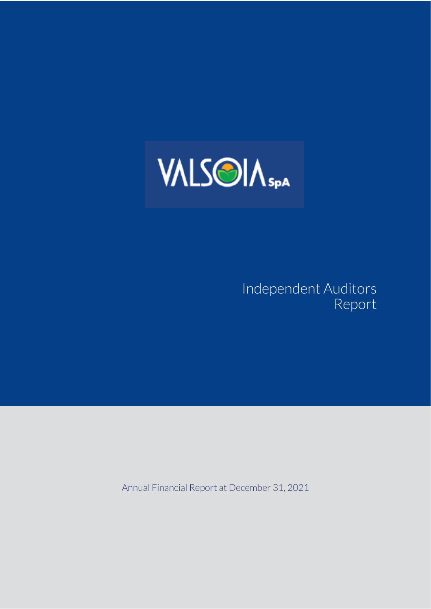

## Independent Auditors Report

Annual Financial Report at December 31, 2021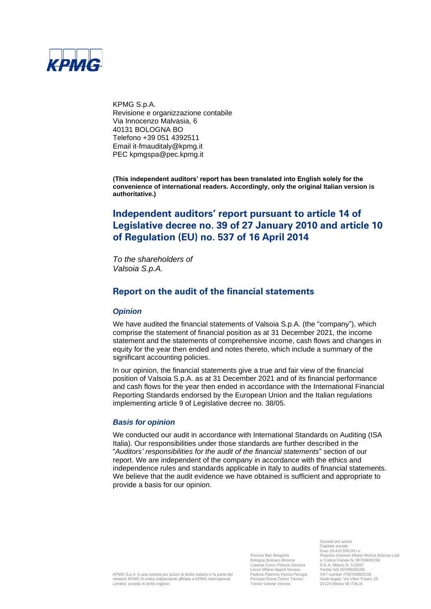

KPMG S.p.A. Revisione e organizzazione contabile Via Innocenzo Malvasia, 6 40131 BOLOGNA BO Telefono +39 051 4392511 Email it-fmauditaly@kpmg.it PEC kpmgspa@pec.kpmg.it

**(This independent auditors' report has been translated into English solely for the convenience of international readers. Accordingly, only the original Italian version is authoritative.)**

### **Independent auditors' report pursuant to article 14 of Legislative decree no. 39 of 27 January 2010 and article 10 of Regulation (EU) no. 537 of 16 April 2014**

*To the shareholders of Valsoia S.p.A.*

#### **Report on the audit of the financial statements**

#### *Opinion*

We have audited the financial statements of Valsoia S.p.A. (the "company"), which comprise the statement of financial position as at 31 December 2021, the income statement and the statements of comprehensive income, cash flows and changes in equity for the year then ended and notes thereto, which include a summary of the significant accounting policies.

In our opinion, the financial statements give a true and fair view of the financial position of Valsoia S.p.A. as at 31 December 2021 and of its financial performance and cash flows for the year then ended in accordance with the International Financial Reporting Standards endorsed by the European Union and the Italian regulations implementing article 9 of Legislative decree no. 38/05.

#### *Basis for opinion*

We conducted our audit in accordance with International Standards on Auditing (ISA Italia). Our responsibilities under those standards are further described in the "*Auditors' responsibilities for the audit of the financial statements*" section of our report. We are independent of the company in accordance with the ethics and independence rules and standards applicable in Italy to audits of financial statements. We believe that the audit evidence we have obtained is sufficient and appropriate to provide a basis for our opinion.

> Ancona Bari Bergamo Bologna Bolzano Brescia Catania Como Firenze Genova Lecce Milano Napoli Novara Padova Palermo Parma Perugia Pescara Roma Torino Treviso Trieste Varese Verona

Società per azioni Capitale sociale Euro 10.415.500,00 i.v. Registro Imprese Milano Monza Brianza Lodi e Codice Fiscale N. 00709600159 R.E.A. Milano N. 512867 Partita IVA 00709600159 VAT number IT00709600159 Sede legale: Via Vittor Pisani, 25 20124 Milano MI ITALIA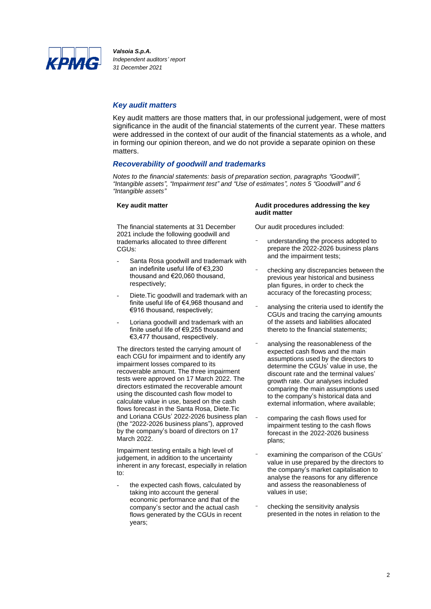

#### *Key audit matters*

Key audit matters are those matters that, in our professional judgement, were of most significance in the audit of the financial statements of the current year. These matters were addressed in the context of our audit of the financial statements as a whole, and in forming our opinion thereon, and we do not provide a separate opinion on these matters.

#### *Recoverability of goodwill and trademarks*

*Notes to the financial statements: basis of preparation section, paragraphs "Goodwill", "Intangible assets", "Impairment test" and "Use of estimates", notes 5 "Goodwill" and 6 "Intangible assets"*

The financial statements at 31 December 2021 include the following goodwill and trademarks allocated to three different CGUs:

- Santa Rosa goodwill and trademark with an indefinite useful life of €3,230 thousand and €20,060 thousand, respectively;
- Diete. Tic goodwill and trademark with an finite useful life of €4,968 thousand and €916 thousand, respectively;
- Loriana goodwill and trademark with an finite useful life of €9,255 thousand and €3,477 thousand, respectively.

The directors tested the carrying amount of each CGU for impairment and to identify any impairment losses compared to its recoverable amount. The three impairment tests were approved on 17 March 2022. The directors estimated the recoverable amount using the discounted cash flow model to calculate value in use, based on the cash flows forecast in the Santa Rosa, Diete.Tic and Loriana CGUs' 2022-2026 business plan (the "2022-2026 business plans"), approved by the company's board of directors on 17 March 2022.

Impairment testing entails a high level of judgement, in addition to the uncertainty inherent in any forecast, especially in relation to:

the expected cash flows, calculated by taking into account the general economic performance and that of the company's sector and the actual cash flows generated by the CGUs in recent years;

#### **Key audit matter Audit procedures addressing the key audit matter**

Our audit procedures included:

- understanding the process adopted to prepare the 2022-2026 business plans and the impairment tests;
- checking any discrepancies between the previous year historical and business plan figures, in order to check the accuracy of the forecasting process;
- analysing the criteria used to identify the CGUs and tracing the carrying amounts of the assets and liabilities allocated thereto to the financial statements;
- analysing the reasonableness of the expected cash flows and the main assumptions used by the directors to determine the CGUs' value in use, the discount rate and the terminal values' growth rate. Our analyses included comparing the main assumptions used to the company's historical data and external information, where available;
- comparing the cash flows used for impairment testing to the cash flows forecast in the 2022-2026 business plans;
- examining the comparison of the CGUs' value in use prepared by the directors to the company's market capitalisation to analyse the reasons for any difference and assess the reasonableness of values in use;
- checking the sensitivity analysis presented in the notes in relation to the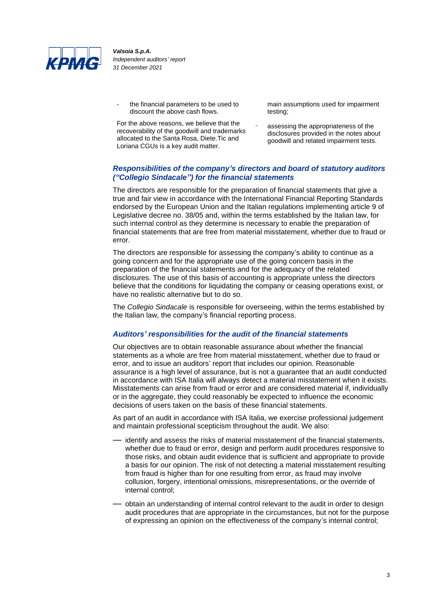

the financial parameters to be used to discount the above cash flows.

For the above reasons, we believe that the recoverability of the goodwill and trademarks allocated to the Santa Rosa, Diete.Tic and Loriana CGUs is a key audit matter.

main assumptions used for impairment testing;

assessing the appropriateness of the disclosures provided in the notes about goodwill and related impairment tests.

#### *Responsibilities of the company's directors and board of statutory auditors ("Collegio Sindacale") for the financial statements*

The directors are responsible for the preparation of financial statements that give a true and fair view in accordance with the International Financial Reporting Standards endorsed by the European Union and the Italian regulations implementing article 9 of Legislative decree no. 38/05 and, within the terms established by the Italian law, for such internal control as they determine is necessary to enable the preparation of financial statements that are free from material misstatement, whether due to fraud or error.

The directors are responsible for assessing the company's ability to continue as a going concern and for the appropriate use of the going concern basis in the preparation of the financial statements and for the adequacy of the related disclosures. The use of this basis of accounting is appropriate unless the directors believe that the conditions for liquidating the company or ceasing operations exist, or have no realistic alternative but to do so.

The *Collegio Sindacale* is responsible for overseeing, within the terms established by the Italian law, the company's financial reporting process.

#### *Auditors' responsibilities for the audit of the financial statements*

Our objectives are to obtain reasonable assurance about whether the financial statements as a whole are free from material misstatement, whether due to fraud or error, and to issue an auditors' report that includes our opinion. Reasonable assurance is a high level of assurance, but is not a guarantee that an audit conducted in accordance with ISA Italia will always detect a material misstatement when it exists. Misstatements can arise from fraud or error and are considered material if, individually or in the aggregate, they could reasonably be expected to influence the economic decisions of users taken on the basis of these financial statements.

As part of an audit in accordance with ISA Italia, we exercise professional judgement and maintain professional scepticism throughout the audit. We also:

- identify and assess the risks of material misstatement of the financial statements, whether due to fraud or error, design and perform audit procedures responsive to those risks, and obtain audit evidence that is sufficient and appropriate to provide a basis for our opinion. The risk of not detecting a material misstatement resulting from fraud is higher than for one resulting from error, as fraud may involve collusion, forgery, intentional omissions, misrepresentations, or the override of internal control;
- obtain an understanding of internal control relevant to the audit in order to design audit procedures that are appropriate in the circumstances, but not for the purpose of expressing an opinion on the effectiveness of the company's internal control;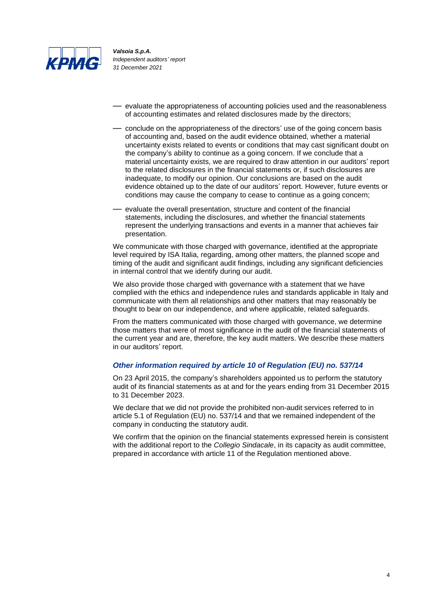

- evaluate the appropriateness of accounting policies used and the reasonableness of accounting estimates and related disclosures made by the directors;
- conclude on the appropriateness of the directors' use of the going concern basis of accounting and, based on the audit evidence obtained, whether a material uncertainty exists related to events or conditions that may cast significant doubt on the company's ability to continue as a going concern. If we conclude that a material uncertainty exists, we are required to draw attention in our auditors' report to the related disclosures in the financial statements or, if such disclosures are inadequate, to modify our opinion. Our conclusions are based on the audit evidence obtained up to the date of our auditors' report. However, future events or conditions may cause the company to cease to continue as a going concern;
- evaluate the overall presentation, structure and content of the financial statements, including the disclosures, and whether the financial statements represent the underlying transactions and events in a manner that achieves fair presentation.

We communicate with those charged with governance, identified at the appropriate level required by ISA Italia, regarding, among other matters, the planned scope and timing of the audit and significant audit findings, including any significant deficiencies in internal control that we identify during our audit.

We also provide those charged with governance with a statement that we have complied with the ethics and independence rules and standards applicable in Italy and communicate with them all relationships and other matters that may reasonably be thought to bear on our independence, and where applicable, related safeguards.

From the matters communicated with those charged with governance, we determine those matters that were of most significance in the audit of the financial statements of the current year and are, therefore, the key audit matters. We describe these matters in our auditors' report.

#### *Other information required by article 10 of Regulation (EU) no. 537/14*

On 23 April 2015, the company's shareholders appointed us to perform the statutory audit of its financial statements as at and for the years ending from 31 December 2015 to 31 December 2023.

We declare that we did not provide the prohibited non-audit services referred to in article 5.1 of Regulation (EU) no. 537/14 and that we remained independent of the company in conducting the statutory audit.

We confirm that the opinion on the financial statements expressed herein is consistent with the additional report to the *Collegio Sindacale*, in its capacity as audit committee, prepared in accordance with article 11 of the Regulation mentioned above.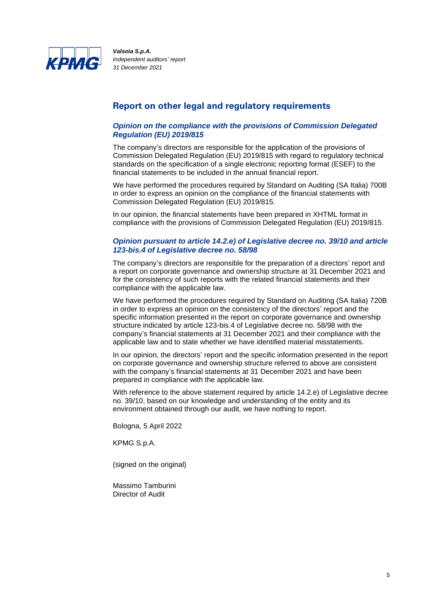

#### **Report on other legal and regulatory requirements**

#### *Opinion on the compliance with the provisions of Commission Delegated Regulation (EU) 2019/815*

The company's directors are responsible for the application of the provisions of Commission Delegated Regulation (EU) 2019/815 with regard to regulatory technical standards on the specification of a single electronic reporting format (ESEF) to the financial statements to be included in the annual financial report.

We have performed the procedures required by Standard on Auditing (SA Italia) 700B in order to express an opinion on the compliance of the financial statements with Commission Delegated Regulation (EU) 2019/815.

In our opinion, the financial statements have been prepared in XHTML format in compliance with the provisions of Commission Delegated Regulation (EU) 2019/815.

#### *Opinion pursuant to article 14.2.e) of Legislative decree no. 39/10 and article 123-bis.4 of Legislative decree no. 58/98*

The company's directors are responsible for the preparation of a directors' report and a report on corporate governance and ownership structure at 31 December 2021 and for the consistency of such reports with the related financial statements and their compliance with the applicable law.

We have performed the procedures required by Standard on Auditing (SA Italia) 720B in order to express an opinion on the consistency of the directors' report and the specific information presented in the report on corporate governance and ownership structure indicated by article 123-bis.4 of Legislative decree no. 58/98 with the company's financial statements at 31 December 2021 and their compliance with the applicable law and to state whether we have identified material misstatements.

In our opinion, the directors' report and the specific information presented in the report on corporate governance and ownership structure referred to above are consistent with the company's financial statements at 31 December 2021 and have been prepared in compliance with the applicable law.

With reference to the above statement required by article 14.2.e) of Legislative decree no. 39/10, based on our knowledge and understanding of the entity and its environment obtained through our audit, we have nothing to report.

Bologna, 5 April 2022

KPMG S.p.A.

(signed on the original)

Massimo Tamburini Director of Audit